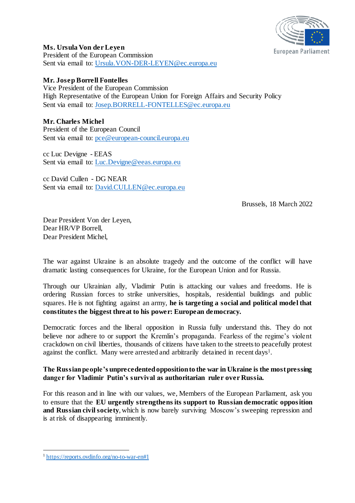

**Ms. Ursula Von der Leyen**

President of the European Commission Sent via email to: [Ursula.VON-DER-LEYEN@ec.europa.eu](mailto:Ursula.VON-DER-LEYEN@ec.europa.eu)

# **Mr. Josep Borrell Fontelles**

Vice President of the European Commission High Representative of the European Union for Foreign Affairs and Security Policy Sent via email to: [Josep.BORRELL-FONTELLES@ec.europa.eu](mailto:Josep.BORRELL-FONTELLES@ec.europa.eu)

# **Mr. Charles Michel**

President of the European Council Sent via email to: [pce@european-council.europa.eu](mailto:pce@european-council.europa.eu)

cc Luc Devigne - EEAS Sent via email to: [Luc.Devigne@eeas.europa.eu](mailto:Luc.Devigne@eeas.europa.eu)

cc David Cullen - DG NEAR Sent via email to: [David.CULLEN@ec.europa.eu](mailto:David.CULLEN@ec.europa.eu)

Brussels, 18 March 2022

Dear President Von der Leyen, Dear HR/VP Borrell, Dear President Michel,

The war against Ukraine is an absolute tragedy and the outcome of the conflict will have dramatic lasting consequences for Ukraine, for the European Union and for Russia.

Through our Ukrainian ally, Vladimir Putin is attacking our values and freedoms. He is ordering Russian forces to strike universities, hospitals, residential buildings and public squares. He is not fighting against an army, **he is targeting a social and political model that constitutes the biggest threat to his power: European democracy.**

Democratic forces and the liberal opposition in Russia fully understand this. They do not believe nor adhere to or support the Kremlin's propaganda. Fearless of the regime's violent crackdown on civil liberties, thousands of citizens have taken to the streets to peacefully protest against the conflict. Many were arrested and arbitrarily detained in recent days<sup>1</sup>.

### **The Russian people's unprecedentedopposition to the war in Ukraine is the most pressing danger for Vladimir Putin's survival as authoritarian ruler over Russia.**

For this reason and in line with our values, we, Members of the European Parliament, ask you to ensure that the **EU urgently strengthens its support to Russian democratic opposition and Russian civil society**, which is now barely surviving Moscow's sweeping repression and is at risk of disappearing imminently.

l

<sup>1</sup> <https://reports.ovdinfo.org/no-to-war-en#1>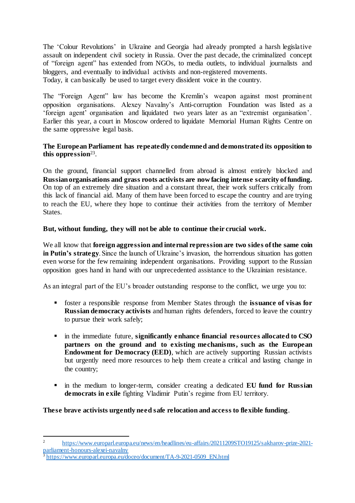The 'Colour Revolutions' in Ukraine and Georgia had already prompted a harsh legislative assault on independent civil society in Russia. Over the past decade, the criminalized concept of "foreign agent" has extended from NGOs, to media outlets, to individual journalists and bloggers, and eventually to individual activists and non-registered movements. Today, it can basically be used to target every dissident voice in the country.

The "Foreign Agent" law has become the Kremlin's weapon against most prominent opposition organisations. Alexey Navalny's Anti-corruption Foundation was listed as a 'foreign agent' organisation and liquidated two years later as an "extremist organisation'. Earlier this year, a court in Moscow ordered to liquidate Memorial Human Rights Centre on the same oppressive legal basis.

### **The European Parliament has repeatedly condemned and demonstrated its opposition to this oppression**<sup>23</sup> .

On the ground, financial support channelled from abroad is almost entirely blocked and **Russianorganisations and grass roots activists are now facing intense scarcity of funding.** On top of an extremely dire situation and a constant threat, their work suffers critically from this lack of financial aid. Many of them have been forced to escape the country and are trying to reach the EU, where they hope to continue their activities from the territory of Member States.

## **But, without funding, they will not be able to continue their crucial work.**

We all know that **foreign aggression and internal repression are two sides of the same coin in Putin's strategy**. Since the launch of Ukraine's invasion, the horrendous situation has gotten even worse for the few remaining independent organisations. Providing support to the Russian opposition goes hand in hand with our unprecedented assistance to the Ukrainian resistance.

As an integral part of the EU's broader outstanding response to the conflict, we urge you to:

- foster a responsible response from Member States through the **issuance of visas for Russian democracy activists** and human rights defenders, forced to leave the country to pursue their work safely;
- in the immediate future, **significantly enhance financial resources allocated to CSO partners on the ground and to existing mechanisms, such as the European Endowment for Democracy (EED)**, which are actively supporting Russian activists but urgently need more resources to help them create a critical and lasting change in the country;
- in the medium to longer-term, consider creating a dedicated **EU fund for Russian democrats in exile** fighting Vladimir Putin's regime from EU territory.

**These brave activists urgently need safe relocation and access to flexible funding**.

j

<sup>2</sup> [https://www.europarl.europa.eu/news/en/headlines/eu-affairs/20211209STO19125/sakharov-prize-2021](https://www.europarl.europa.eu/news/en/headlines/eu-affairs/20211209STO19125/sakharov-prize-2021-parliament-honours-alexei-navalny) [parliament-honours-alexei-navalny](https://www.europarl.europa.eu/news/en/headlines/eu-affairs/20211209STO19125/sakharov-prize-2021-parliament-honours-alexei-navalny)

<sup>3</sup> [https://www.europarl.europa.eu/doceo/document/TA-9-2021-0509\\_EN.html](https://www.europarl.europa.eu/doceo/document/TA-9-2021-0509_EN.html)